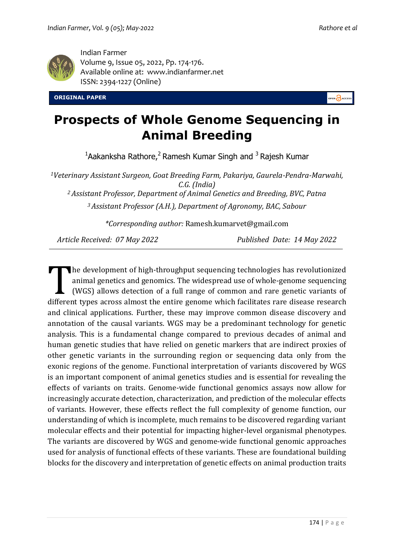

Indian Farmer Volume 9, Issue 05, 2022, Pp. 174-176. Available online at: [www.indianfarmer.n](http://www.indianfarmer./)et ISSN: 2394-1227 (Online)

**ORIGINAL PAPER** 

PEN ACCESS

## **Prospects of Whole Genome Sequencing in Animal Breeding**

 $1$ Aakanksha Rathore, $2$  Ramesh Kumar Singh and  $3$  Rajesh Kumar

*<sup>1</sup>Veterinary Assistant Surgeon, Goat Breeding Farm, Pakariya, Gaurela-Pendra-Marwahi, C.G. (India)*

*<sup>2</sup>Assistant Professor, Department of Animal Genetics and Breeding, BVC, Patna*

*<sup>3</sup>Assistant Professor (A.H.), Department of Agronomy, BAC, Sabour*

*\*Corresponding author:* Ramesh.kumarvet@gmail.com

*Article Received: 07 May 2022 Published Date: 14 May 2022*

he development of high-throughput sequencing technologies has revolutionized animal genetics and genomics. The widespread use of whole-genome sequencing (WGS) allows detection of a full range of common and rare genetic variants of The development of high-throughput sequencing technologies has revolutionized animal genetics and genomics. The widespread use of whole-genome sequencing (WGS) allows detection of a full range of common and rare genetic va and clinical applications. Further, these may improve common disease discovery and annotation of the causal variants. WGS may be a predominant technology for genetic analysis. This is a fundamental change compared to previous decades of animal and human genetic studies that have relied on genetic markers that are indirect proxies of other genetic variants in the surrounding region or sequencing data only from the exonic regions of the genome. Functional interpretation of variants discovered by WGS is an important component of animal genetics studies and is essential for revealing the effects of variants on traits. Genome-wide functional genomics assays now allow for increasingly accurate detection, characterization, and prediction of the molecular effects of variants. However, these effects reflect the full complexity of genome function, our understanding of which is incomplete, much remains to be discovered regarding variant molecular effects and their potential for impacting higher-level organismal phenotypes. The variants are discovered by WGS and genome-wide functional genomic approaches used for analysis of functional effects of these variants. These are foundational building blocks for the discovery and interpretation of genetic effects on animal production traits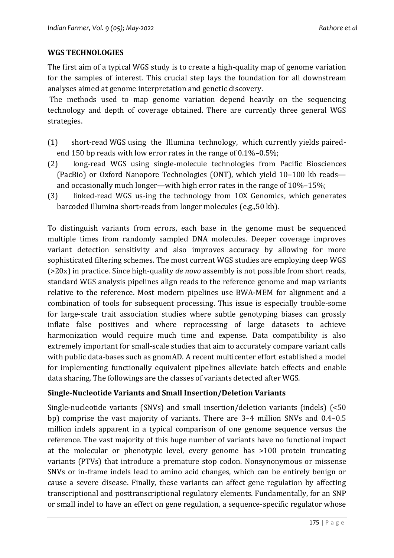## **WGS TECHNOLOGIES**

The first aim of a typical WGS study is to create a high-quality map of genome variation for the samples of interest. This crucial step lays the foundation for all downstream analyses aimed at genome interpretation and genetic discovery.

The methods used to map genome variation depend heavily on the sequencing technology and depth of coverage obtained. There are currently three general WGS strategies.

- (1) short-read WGS using the Illumina technology, which currently yields pairedend 150 bp reads with low error rates in the range of 0.1%–0.5%;
- (2) long-read WGS using single-molecule technologies from Pacific Biosciences (PacBio) or Oxford Nanopore Technologies (ONT), which yield 10–100 kb reads and occasionally much longer—with high error rates in the range of 10%–15%;
- (3) linked-read WGS us-ing the technology from 10X Genomics, which generates barcoded Illumina short-reads from longer molecules (e.g.,50 kb).

To distinguish variants from errors, each base in the genome must be sequenced multiple times from randomly sampled DNA molecules. Deeper coverage improves variant detection sensitivity and also improves accuracy by allowing for more sophisticated filtering schemes. The most current WGS studies are employing deep WGS (>20x) in practice. Since high-quality *de novo* assembly is not possible from short reads, standard WGS analysis pipelines align reads to the reference genome and map variants relative to the reference. Most modern pipelines use BWA-MEM for alignment and a combination of tools for subsequent processing. This issue is especially trouble-some for large-scale trait association studies where subtle genotyping biases can grossly inflate false positives and where reprocessing of large datasets to achieve harmonization would require much time and expense. Data compatibility is also extremely important for small-scale studies that aim to accurately compare variant calls with public data-bases such as gnomAD. A recent multicenter effort established a model for implementing functionally equivalent pipelines alleviate batch effects and enable data sharing. The followings are the classes of variants detected after WGS.

## **Single-Nucleotide Variants and Small Insertion/Deletion Variants**

Single-nucleotide variants (SNVs) and small insertion/deletion variants (indels) (<50 bp) comprise the vast majority of variants. There are 3–4 million SNVs and 0.4–0.5 million indels apparent in a typical comparison of one genome sequence versus the reference. The vast majority of this huge number of variants have no functional impact at the molecular or phenotypic level, every genome has >100 protein truncating variants (PTVs) that introduce a premature stop codon. Nonsynonymous or missense SNVs or in-frame indels lead to amino acid changes, which can be entirely benign or cause a severe disease. Finally, these variants can affect gene regulation by affecting transcriptional and posttranscriptional regulatory elements. Fundamentally, for an SNP or small indel to have an effect on gene regulation, a sequence-specific regulator whose